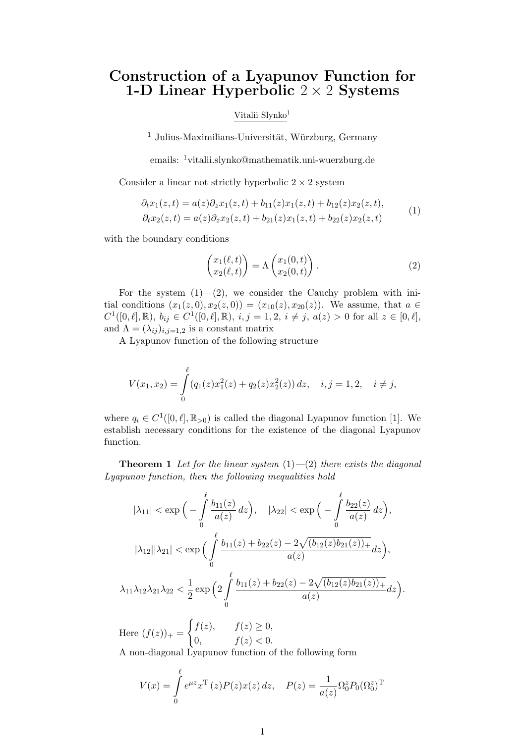## Construction of a Lyapunov Function for 1-D Linear Hyperbolic  $2 \times 2$  Systems

## Vitalii Slynko<sup>1</sup>

 $1$  Julius-Maximilians-Universität, Würzburg, Germany

emails: <sup>1</sup>vitalii.slynko@mathematik.uni-wuerzburg.de

Consider a linear not strictly hyperbolic  $2 \times 2$  system

$$
\partial_t x_1(z,t) = a(z)\partial_z x_1(z,t) + b_{11}(z)x_1(z,t) + b_{12}(z)x_2(z,t),
$$
  
\n
$$
\partial_t x_2(z,t) = a(z)\partial_z x_2(z,t) + b_{21}(z)x_1(z,t) + b_{22}(z)x_2(z,t)
$$
\n(1)

with the boundary conditions

$$
\begin{pmatrix} x_1(\ell, t) \\ x_2(\ell, t) \end{pmatrix} = \Lambda \begin{pmatrix} x_1(0, t) \\ x_2(0, t) \end{pmatrix}.
$$
 (2)

For the system  $(1)$ — $(2)$ , we consider the Cauchy problem with initial conditions  $(x_1(z, 0), x_2(z, 0)) = (x_{10}(z), x_{20}(z))$ . We assume, that  $a \in$  $C^1([0,\ell], \mathbb{R})$ ,  $b_{ij} \in C^1([0,\ell], \mathbb{R})$ ,  $i, j = 1, 2, i \neq j$ ,  $a(z) > 0$  for all  $z \in [0,\ell]$ , and  $\Lambda = (\lambda_{ij})_{i,j=1,2}$  is a constant matrix

A Lyapunov function of the following structure

$$
V(x_1, x_2) = \int_0^{\ell} (q_1(z)x_1^2(z) + q_2(z)x_2^2(z)) dz, \quad i, j = 1, 2, \quad i \neq j,
$$

where  $q_i \in C^1([0,\ell], \mathbb{R}_{>0})$  is called the diagonal Lyapunov function [1]. We establish necessary conditions for the existence of the diagonal Lyapunov function.

**Theorem 1** Let for the linear system  $(1)$  -(2) there exists the diagonal Lyapunov function, then the following inequalities hold

$$
|\lambda_{11}| < \exp\Big(-\int_{0}^{\ell} \frac{b_{11}(z)}{a(z)} dz\Big), \quad |\lambda_{22}| < \exp\Big(-\int_{0}^{\ell} \frac{b_{22}(z)}{a(z)} dz\Big),
$$
  

$$
|\lambda_{12}||\lambda_{21}| < \exp\Big(\int_{0}^{\ell} \frac{b_{11}(z) + b_{22}(z) - 2\sqrt{(b_{12}(z)b_{21}(z))_{+}}}{a(z)} dz\Big),
$$
  

$$
\lambda_{11}\lambda_{12}\lambda_{21}\lambda_{22} < \frac{1}{2} \exp\Big(2\int_{0}^{\ell} \frac{b_{11}(z) + b_{22}(z) - 2\sqrt{(b_{12}(z)b_{21}(z))_{+}}}{a(z)} dz\Big).
$$

Here  $(f(z))_{+} =$  $\int f(z)$ ,  $f(z) \geq 0$ , 0,  $f(z) < 0$ . A non-diagonal Lyapunov function of the following form

$$
V(x) = \int_{0}^{\ell} e^{\mu z} x^{T}(z) P(z) x(z) dz, \quad P(z) = \frac{1}{a(z)} \Omega_{0}^{z} P_{0}(\Omega_{0}^{z})^{T}
$$